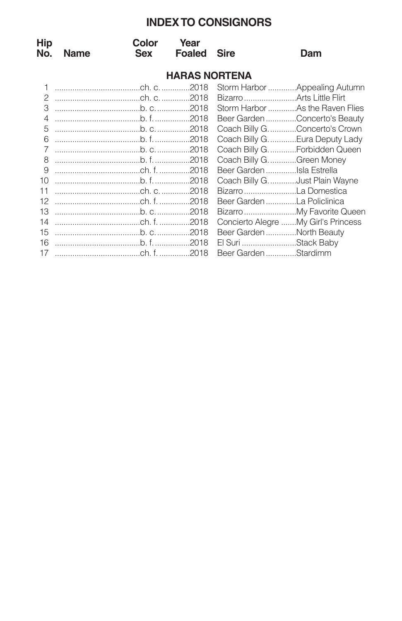# **INDEXTO CONSIGNORS**

| <b>Hip</b><br>No.    | <b>Name</b> | Color<br>Sex | Year<br><b>Foaled</b> | <b>Sire</b>                     | Dam                                  |  |  |
|----------------------|-------------|--------------|-----------------------|---------------------------------|--------------------------------------|--|--|
| <b>HARAS NORTENA</b> |             |              |                       |                                 |                                      |  |  |
|                      |             |              |                       |                                 | Storm Harbor  Appealing Autumn       |  |  |
| 2                    |             |              |                       |                                 |                                      |  |  |
| 3                    |             |              |                       |                                 | Storm Harbor As the Raven Flies      |  |  |
| 4                    |             |              |                       |                                 | Beer Garden Concerto's Beauty        |  |  |
| 5                    |             |              |                       |                                 | Coach Billy G. Concerto's Crown      |  |  |
| 6                    |             |              |                       |                                 | Coach Billy G. Eura Deputy Lady      |  |  |
| $\overline{7}$       |             |              |                       |                                 | Coach Billy G.  Forbidden Queen      |  |  |
| 8                    |             |              |                       | Coach Billy G. Green Money      |                                      |  |  |
| 9                    |             |              |                       | Beer Garden Isla Estrella       |                                      |  |  |
| 10                   |             |              |                       | Coach Billy G. Just Plain Wayne |                                      |  |  |
| 11                   |             |              |                       | Bizarro La Domestica            |                                      |  |  |
| 12                   |             |              |                       | Beer Garden La Policlinica      |                                      |  |  |
| 13                   |             |              |                       |                                 |                                      |  |  |
| 14                   |             |              |                       |                                 | Concierto Alegre  My Girl's Princess |  |  |
| 15                   |             |              |                       | Beer GardenNorth Beauty         |                                      |  |  |
| 16                   |             |              |                       | El Suri Stack Baby              |                                      |  |  |
| 17                   |             |              |                       | Beer GardenStardimm             |                                      |  |  |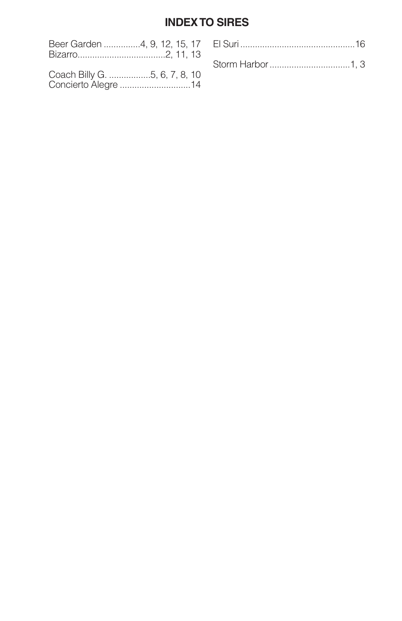# **INDEX TO SIRES**

| Coach Billy G. 5, 6, 7, 8, 10 |  |
|-------------------------------|--|
|                               |  |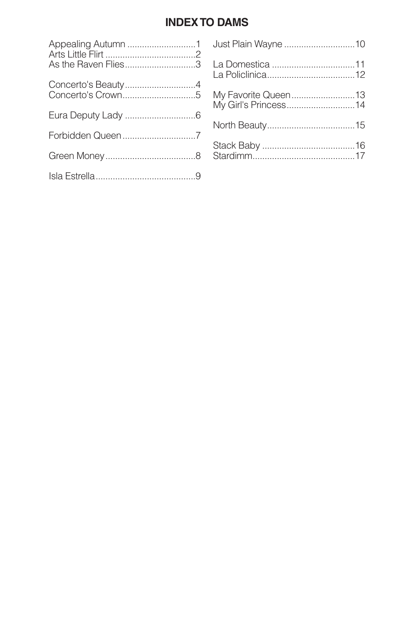# **INDEXTO DAMS**

| As the Raven Flies3                     |
|-----------------------------------------|
| Concerto's Beauty4<br>Concerto's Crown5 |
|                                         |
|                                         |
|                                         |
|                                         |
|                                         |

| Just Plain Wayne 10                         |  |
|---------------------------------------------|--|
|                                             |  |
| My Favorite Queen13<br>My Girl's Princess14 |  |
|                                             |  |
|                                             |  |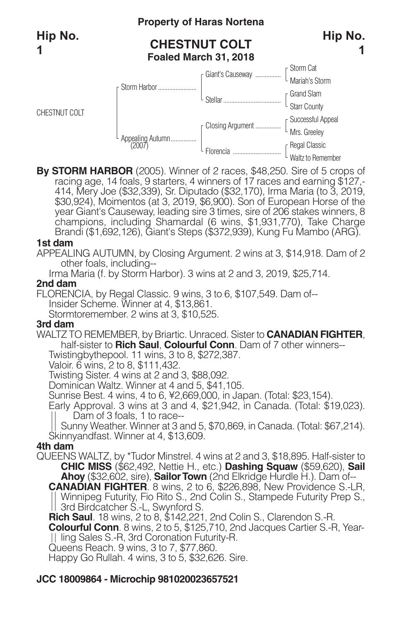# **Property of Haras Nortena**

# **CHESTNUT COLT Foaled March 31, 2018**





**By STORM HARBOR** (2005). Winner of 2 races, \$48,250. Sire of 5 crops of racing age, <sup>14</sup> foals, <sup>9</sup> starters, <sup>4</sup> winners of <sup>17</sup> races and earning \$127,- 414, Mery Joe (\$32,339), Sr. Diputado (\$32,170), Irma Maria (to 3, 2019, \$30,924), Moimentos (at 3, 2019, \$6,900). Son of European Horse of the year Giant's Causeway, leading sire 3 times, sire of 206 stakes winners, 8 champions, including Shamardal (6 wins, \$1,931,770), Take Charge Brandi (\$1,692,126), Giant's Steps (\$372,939), Kung Fu Mambo (ARG).

### **1st dam**

APPEALING AUTUMN, by Closing Argument. 2 wins at 3, \$14,918. Dam of 2 other foals, including--

Irma Maria (f. by Storm Harbor). 3 wins at 2 and 3, 2019, \$25,714.

### **2nd dam**

FLORENCIA, by Regal Classic. 9 wins, 3 to 6, \$107,549. Dam of-- Insider Scheme. Winner at 4, \$13,861.

Stormtoremember. 2 wins at 3, \$10,525.

### **3rd dam**

WALTZ TO REMEMBER, by Briartic. Unraced. Sister to **CANADIAN FIGHTER**, half-sister to **Rich Saul**, **Colourful Conn**. Dam of 7 other winners--

Twistingbythepool. 11 wins, 3 to 8, \$272,387.

Valoir. 6 wins, 2 to 8, \$111,432.

Twisting Sister. 4 wins at 2 and 3, \$88,092.

Dominican Waltz. Winner at 4 and 5, \$41,105.

Sunrise Best. 4 wins, 4 to 6, ¥2,669,000, in Japan. (Total: \$23,154).

Early Approval. 3 wins at 3 and 4, \$21,942, in Canada. (Total: \$19,023). Dam of 3 foals, 1 to race--

Sunny Weather. Winner at 3 and 5, \$70,869, in Canada. (Total: \$67,214). Skinnyandfast. Winner at 4, \$13,609.

### **4th dam**

QUEENS WALTZ, by \*Tudor Minstrel. 4 wins at 2 and 3, \$18,895. Half-sister to **CHIC MISS** (\$62,492, Nettie H., etc.) **Dashing Squaw** (\$59,620), **Sail Ahoy** (\$32,602, sire), **SailorTown** (2nd Elkridge Hurdle H.). Dam of-- **CANADIAN FIGHTER**. 8 wins, 2 to 6, \$226,898, New Providence S.-LR, Winnipeg Futurity, Fio Rito S., 2nd Colin S., Stampede Futurity Prep S., 3rd Birdcatcher S.-L, Swynford S.

**Rich Saul**. 18 wins, 2 to 8, \$142,221, 2nd Colin S., Clarendon S.-R.

**Colourful Conn**. 8 wins, 2 to 5, \$125,710, 2nd Jacques Cartier S.-R, Yearling Sales S.-R, 3rd Coronation Futurity-R.

Queens Reach. 9 wins, 3 to 7, \$77,860.

Happy Go Rullah. 4 wins, 3 to 5, \$32,626. Sire.

# **JCC 18009864 - Microchip 981020023657521**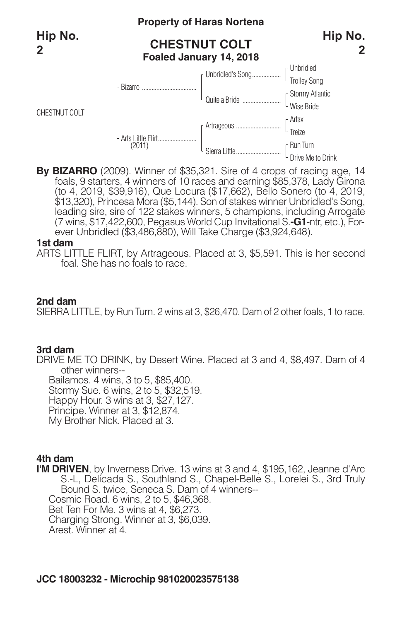CHESTNUT COLT

### **Property of Haras Nortena**

# **CHESTNUT COLT Foaled January 14, 2018**



Unbridled Trolley Song Unbridled's Song.................. Stormy Atlantic Wise Bride Quitea Bride ........................ Artax Treize Run Turn Drive Me to Drink Artrageous ............................ Sierra Little............................ Arts Little Flirt........................ (2011) Bizarro ....

**By BIZARRO** (2009). Winner of \$35,321. Sire of 4 crops of racing age, 14 foals, 9 starters, 4 winners of 10 races and earning \$85,378, Lady Girona (to 4, 2019, \$39,916), Que Locura (\$17,662), Bello Sonero (to 4, 2019,<br>\$13,320), Princesa Mora (\$5,144). Son of stakes winner Unbridled's Song,<br>leading sire, sire of 122 stakes winners, 5 champions, including Arrogate (7 wins, \$17,422,600, Pegasus World Cup Invitational S.**-G1**-ntr, etc.), Forever Unbridled (\$3,486,880), Will Take Charge (\$3,924,648).

#### **1st dam**

ARTS LITTLE FLIRT, by Artrageous. Placed at 3, \$5,591. This is her second foal. She has no foals to race.

### **2nd dam**

SIERRA LITTLE, by Run Turn. 2 wins at 3, \$26,470. Dam of 2 other foals, 1 to race.

### **3rd dam**

DRIVE ME TO DRINK, by Desert Wine. Placed at 3 and 4, \$8,497. Dam of 4 other winners-- Bailamos. 4 wins, 3 to 5, \$85,400. Stormy Sue. 6 wins, 2 to 5, \$32,519. Happy Hour. 3 wins at 3, \$27,127.

Principe. Winner at 3, \$12,874.

My Brother Nick. Placed at 3.

### **4th dam**

**I'M DRIVEN**, by Inverness Drive. 13 wins at 3 and 4, \$195,162, Jeanne d'Arc S.-L, Delicada S., Southland S., Chapel-Belle S., Lorelei S., 3rd Truly Bound S. twice, Seneca S. Dam of 4 winners-- Cosmic Road. 6 wins, 2 to 5, \$46,368. Bet Ten For Me. 3 wins at 4, \$6,273. Charging Strong. Winner at 3, \$6,039. Arest. Winner at 4.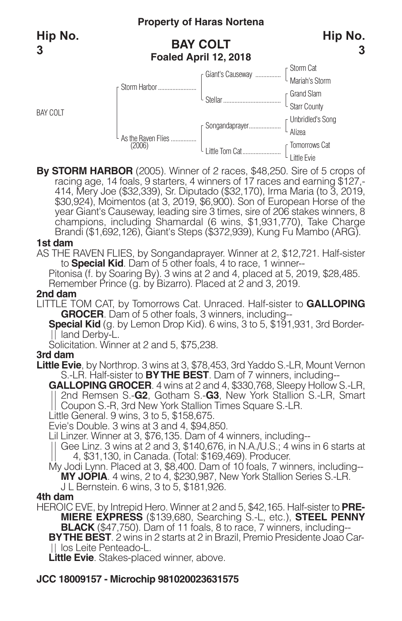BAY COLT

# **Property of Haras Nortena**

# **BAY COLT Foaled April 12, 2018**



**By STORM HARBOR** (2005). Winner of 2 races, \$48,250. Sire of 5 crops of racing age, 14 foals, 9 starters, 4 winners of 17 races and earning \$127,-<br>414, Mery Joe (\$32,339), Sr. Diputado (\$32,170), Irma Maria (to 3, 2019,<br>\$30,924), Moimentos (at 3, 2019, \$6,900). Son of European Horse of the year Giant's Causeway, leading sire 3 times, sire of 206 stakes winners, 8 champions, including Shamardal (6 wins, \$1,931,770), Take Charge Brandi (\$1,692,126), Giant's Steps (\$372,939), Kung Fu Mambo (ARG).

#### **1st dam**

AS THE RAVEN FLIES, by Songandaprayer. Winner at 2, \$12,721. Half-sister to **Special Kid**. Dam of 5 other foals, 4 to race, 1 winner--

Pitonisa (f. by Soaring By). 3 wins at 2 and 4, placed at 5, 2019, \$28,485. Remember Prince (g. by Bizarro). Placed at 2 and 3, 2019.

#### **2nd dam**

LITTLE TOM CAT, by Tomorrows Cat. Unraced. Half-sister to **GALLOPING GROCER**. Dam of 5 other foals, 3 winners, including--

**Special Kid** (g. by Lemon Drop Kid). 6 wins, 3 to 5, \$191,931, 3rd Border-If land Derby-L.

Solicitation. Winner at 2 and 5, \$75,238.

### **3rd dam**

- **Little Evie**, by Northrop. 3 wins at 3, \$78,453, 3rd Yaddo S.-LR, Mount Vernon S.-LR. Half-sister to **BYTHE BEST**. Dam of 7 winners, including--
	- **GALLOPING GROCER**. 4 wins at 2 and 4, \$330,768, Sleepy Hollow S.-LR, 2nd Remsen S.-**G2**, Gotham S.-**G3**, New York Stallion S.-LR, Smart Coupon S.-R, 3rd New York Stallion Times Square S.-LR.
	- Little General. 9 wins, 3 to 5, \$158,675.
	- Evie's Double. 3 wins at 3 and 4, \$94,850.
	- Lil Linzer. Winner at 3, \$76,135. Dam of 4 winners, including--
	- Gee Linz. 3 wins at 2 and 3, \$140,676, in N.A./U.S.; 4 wins in 6 starts at 4, \$31,130, in Canada. (Total: \$169,469). Producer.
	- My Jodi Lynn. Placed at 3, \$8,400. Dam of 10 foals, 7 winners, including-- **MY JOPIA**. 4 wins, 2 to 4, \$230,987, New York Stallion Series S.-LR.

J L Bernstein. 6 wins, 3 to 5, \$181,926.

### **4th dam**

HEROIC EVE, by Intrepid Hero. Winner at 2 and 5, \$42,165. Half-sister to **PRE-MIERE EXPRESS** (\$139,680, Searching S.-L, etc.), **STEEL PENNY BLACK** (\$47,750). Dam of 11 foals, 8 to race, 7 winners, including-- **BYTHE BEST**. 2 wins in 2 starts at 2 in Brazil, Premio Presidente Joao Car-II los Leite Penteado-L.

**Little Evie**. Stakes-placed winner, above.

# **JCC 18009157 - Microchip 981020023631575**

**Hip No.**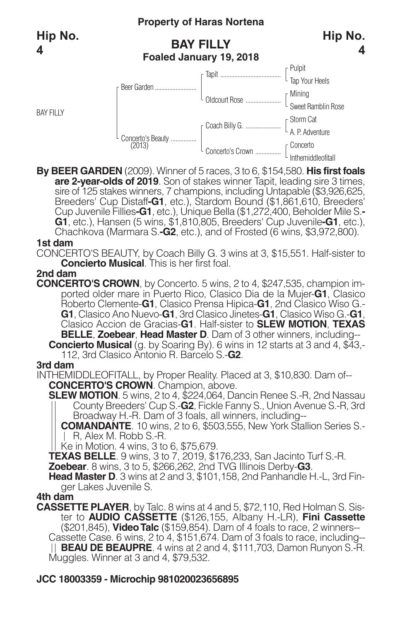BAY FILLY

# **Property of Haras Nortena**

# **BAY FILLY Foaled January 19, 2018**



**Hip No.**

**4**

**By BEER GARDEN** (2009). Winner of 5 races, 3 to 6, \$154,580. **His first foals** sire of 125 stakes winners, 7 champions, including Untapable (\$3,926,625, Breeders' Cup Distaff-**G1**, etc.), Stardom Bound (\$1,861,610, Breeders' Cup Distaff-**G1**, etc.), Stardom Bound (\$1,861,610, Breeders' Cup Juvenile F **G1**, etc.), Hansen (5 wins, \$1,810,805, Breeders' Cup Juvenile**-G1**, etc.), Chachkova (Marmara S.**-G2**, etc.), and of Frosted (6 wins, \$3,972,800).

### **1st dam**

CONCERTO'S BEAUTY, by Coach Billy G. 3 wins at 3, \$15,551. Half-sister to **Concierto Musical**. This is her first foal.

### **2nd dam**

**CONCERTO'S CROWN**, by Concerto. 5 wins, 2 to 4, \$247,535, champion imported older mare in Puerto Rico, Clasico Dia de la Mujer-**G1**, Clasico Roberto Clemente-**G1**, Clasico Prensa Hipica-**G1**, 2nd Clasico Wiso G.- **G1**, Clasico Ano Nuevo-**G1**, 3rd Clasico Jinetes-**G1**, Clasico Wiso G.-**G1**, Clasico Accion de Gracias-**G1**. Half-sister to **SLEW MOTION**, **TEXAS BELLE**, **Zoebear**, **Head Master D**. Dam of 3 other winners, including-- **Concierto Musical** (g. by Soaring By). 6 wins in 12 starts at 3 and 4, \$43,- 112, 3rd Clasico Antonio R. Barcelo S.-**G2**.

### **3rd dam**

INTHEMIDDLEOFITALL, by Proper Reality. Placed at 3, \$10,830. Dam of-- **CONCERTO'S CROWN**. Champion, above.

**SLEW MOTION**. 5 wins, 2 to 4, \$224,064, Dancin Renee S.-R, 2nd Nassau County Breeders' Cup S.-**G2**, Fickle Fanny S., Union Avenue S.-R, 3rd Broadway H.-R. Dam of 3 foals, all winners, including--

**COMANDANTE**. 10 wins, 2 to 6, \$503,555, New York Stallion Series S.- R, Alex M. Robb S.-R.

Ke in Motion. 4 wins, 3 to 6, \$75,679.

**TEXAS BELLE**. 9 wins, 3 to 7, 2019, \$176,233, San Jacinto Turf S.-R.

**Zoebear**. 8 wins, 3 to 5, \$266,262, 2nd TVG Illinois Derby-**G3**.

**Head Master D**. 3 wins at 2 and 3, \$101,158, 2nd Panhandle H.-L, 3rd Finger Lakes Juvenile S.

### **4th dam**

**CASSETTE PLAYER**, by Talc. 8 wins at 4 and 5, \$72,110, Red Holman S. Sister to **AUDIO CASSETTE** (\$126,155, Albany H.-LR), **Fini Cassette** Cassette Case. 6 wins, 2 to 4, \$151,674. Dam of 3 foals to race, including--**BEAU DE BEAUPRE**. 4 wins at 2 and 4, \$111,703, Damon Runyon S.-R. Muggles. Winner at 3 and 4, \$79,532.

# **JCC 18003359 - Microchip 981020023656895**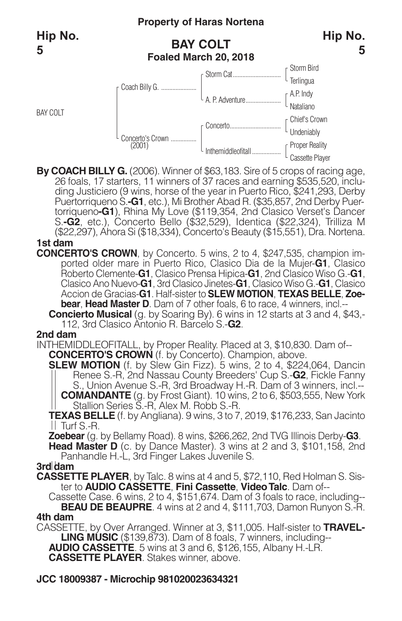BAY COLT

# **Property of Haras Nortena**

# **BAY COLT Foaled March 20, 2018**



By COACH BILLY G. (2006). Winner of \$63,183. Sire of 5 crops of racing age,<br>26 foals, 17 starters, 11 winners of 37 races and earning \$535,520, inclu-<br>ding Justiciero (9 wins, horse of the year in Puerto Rico, \$241,293, De Puertorriqueno S.**-G1**, etc.), Mi Brother Abad R. (\$35,857, 2nd Derby Puer- torriqueno**-G1**), Rhina My Love (\$119,354, 2nd Clasico Verset's Dancer S.**-G2**, etc.), Concerto Bello (\$32,529), Identica (\$22,324), Trilliza M (\$22,297), Ahora Si (\$18,334), Concerto's Beauty (\$15,551), Dra. Nortena.

- **1st dam**
- **CONCERTO'S CROWN**, by Concerto. 5 wins, 2 to 4, \$247,535, champion imported older mare in Puerto Rico, Clasico Dia de la Mujer-**G1**, Clasico Roberto Clemente-**G1**, Clasico Prensa Hipica-**G1**, 2nd Clasico Wiso G.-**G1**, Clasico Ano Nuevo-**G1**, 3rd Clasico Jinetes-**G1**, Clasico Wiso G.-**G1**, Clasico Accion de Gracias-**G1**. Half-sister to **SLEW MOTION**, **TEXAS BELLE**, **Zoebear**, **Head Master D**. Dam of 7 other foals, 6 to race, 4 winners, incl.--
	- **Concierto Musical** (g. by Soaring By). 6 wins in 12 starts at 3 and 4, \$43,- 112, 3rd Clasico Antonio R. Barcelo S.-**G2**.

### **2nd dam**

INTHEMIDDLEOFITALL, by Proper Reality. Placed at 3, \$10,830. Dam of--

**CONCERTO'S CROWN** (f. by Concerto). Champion, above.

**SLEW MOTION** (f. by Slew Gin Fizz). 5 wins, 2 to 4, \$224,064, Dancin Renee S.-R, 2nd Nassau County Breeders' Cup S.-**G2**, Fickle Fanny S., Union Avenue S.-R, 3rd Broadway H.-R. Dam of 3 winners, incl.-- **COMANDANTE** (g. by Frost Giant). 10 wins, 2 to 6, \$503,555, New York Stallion Series S.-R, Alex M. Robb S.-R.

**TEXAS BELLE** (f. by Angliana). 9 wins, 3 to 7, 2019, \$176,233, San Jacinto Turf S.-R.

**Zoebear** (g. by Bellamy Road). 8 wins, \$266,262, 2nd TVG Illinois Derby-**G3**.

**Head Master D** (c. by Dance Master). 3 wins at 2 and 3, \$101,158, 2nd Panhandle H.-L, 3rd Finger Lakes Juvenile S.

### **3rd dam**

**CASSETTE PLAYER**, by Talc. 8 wins at 4 and 5, \$72,110, Red Holman S. Sis-

Cassette Case. 6 wins, 2 to 4, \$151,674. Dam of 3 foals to race, including--**BEAU DE BEAUPRE**. 4 wins at 2 and 4, \$111,703, Damon Runyon S.-R.

**4th dam**

CASSETTE, by Over Arranged. Winner at 3, \$11,005. Half-sister to **TRAVEL-LING MUSIC** (\$139,873). Dam of 8 foals, 7 winners, including-- **AUDIO CASSETTE**. 5 wins at 3 and 6, \$126,155, Albany H.-LR. **CASSETTE PLAYER**. Stakes winner, above.

**JCC 18009387 - Microchip 981020023634321**



**Hip No.**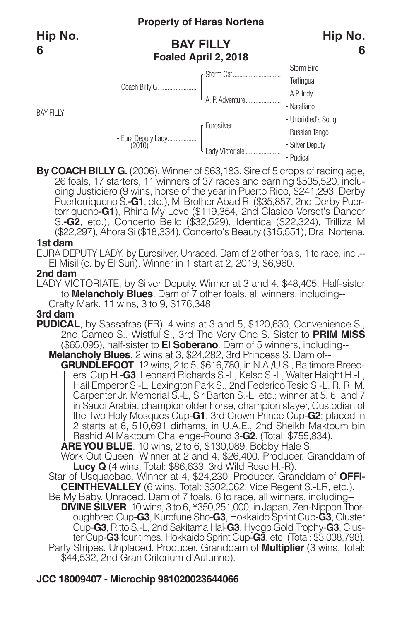BAY FILLY

# **Property of Haras Nortena**

# **BAY FILLY Foaled April 2, 2018**





By COACH BILLY G. (2006). Winner of \$63,183. Sire of 5 crops of racing age,<br>26 foals, 17 starters, 11 winners of 37 races and earning \$535,520, including Justiciero (9 wins, horse of the year in Puerto Rico, \$241,293, Derb Puertorriqueno S.**-G1**, etc.), Mi Brother Abad R. (\$35,857, 2nd Derby Puer- torriqueno**-G1**), Rhina My Love (\$119,354, 2nd Clasico Verset's Dancer S.**-G2**, etc.), Concerto Bello (\$32,529), Identica (\$22,324), Trilliza M (\$22,297), Ahora Si (\$18,334), Concerto's Beauty (\$15,551), Dra. Nortena.

#### **1st dam**

EURA DEPUTY LADY, by Eurosilver. Unraced. Dam of 2 other foals, 1 to race, incl.-- El Misil (c. by El Suri). Winner in 1 start at 2, 2019, \$6,960.

### **2nd dam**

LADY VICTORIATE, by Silver Deputy. Winner at 3 and 4, \$48,405. Half-sister to **Melancholy Blues**. Dam of 7 other foals, all winners, including-- Crafty Mark. 11 wins, 3 to 9, \$176,348.

### **3rd dam**

**PUDICAL**, by Sassafras (FR), 4 wins at 3 and 5, \$120,630, Convenience S. 2nd Cameo S., Wistful S., 3rd The Very One S. Sister to **PRIM MISS** (\$65,095), half-sister to **El Soberano**. Dam of 5 winners, including-- **Melancholy Blues**. 2 wins at 3, \$24,282, 3rd Princess S. Dam of--

**GRUNDLEFOOT**. 12 wins, 2 to 5, \$616,780, in N.A./U.S., Baltimore Breeders' Cup H.-**G3**, Leonard Richards S.-L, Kelso S.-L, Walter Haight H.-L, Hail Emperor S.-L, Lexington Park S., 2nd Federico Tesio S.-L, R. R. M. Carpenter Jr. Memorial S.-L, Sir Barton S.-L, etc.; winner at 5, 6, and 7 in Saudi Arabia, champion older horse, champion stayer, Custodian of the Two Holy Mosques Cup-**G1**, 3rd Crown Prince Cup-**G2**; placed in 2 starts at 6, 510,691 dirhams, in U.A.E., 2nd Sheikh Maktoum bin Rashid Al Maktoum Challenge-Round 3-**G2**. (Total: \$755,834).

**AREYOU BLUE**. 10 wins, 2 to 6, \$130,089, Bobby Hale S.

Work Out Queen. Winner at 2 and 4, \$26,400. Producer. Granddam of **Lucy Q** (4 wins, Total: \$86,633, 3rd Wild Rose H.-R).

Star of Usquaebae. Winner at 4, \$24,230. Producer. Granddam of **OFFI-CEINTHEVALLEY** (6 wins, Total: \$302,062, Vice Regent S.-LR, etc.).

Be My Baby. Unraced. Dam of 7 foals, 6 to race, all winners, including-- **DIVINE SILVER**. <sup>10</sup> wins, <sup>3</sup> to 6, ¥350,251,000, in Japan, Zen-Nippon Thor- oughbred Cup-**G3**, Kurofune Sho-**G3**, Hokkaido Sprint Cup-**G3**, Cluster Cup-**G3**, Ritto S.-L, 2nd Sakitama Hai-**G3**, Hyogo Gold Trophy-**G3**, Cluster Cup-**G3** four times, Hokkaido Sprint Cup-**G3**, etc. (Total: \$3,038,798). Party Stripes. Unplaced. Producer. Granddam of **Multiplier** (3 wins, Total:

\$44,532, 2nd Gran Criterium d'Autunno).

# **JCC 18009407 - Microchip 981020023644066**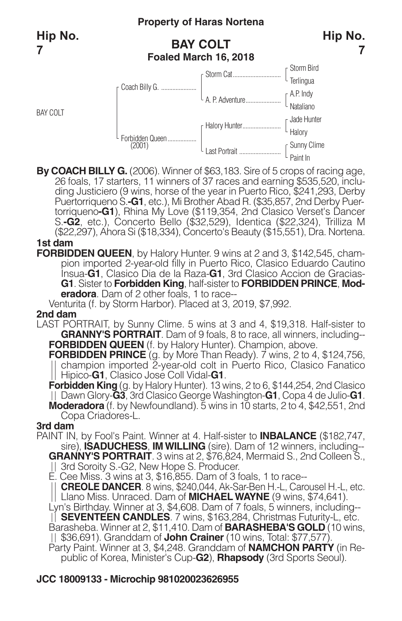BAY COLT

# **Property of Haras Nortena**

# **BAY COLT Foaled March 16, 2018**



**7**



By COACH BILLY G. (2006). Winner of \$63,183. Sire of 5 crops of racing age,<br>26 foals, 17 starters, 11 winners of 37 races and earning \$535,520, including Justiciero (9 wins, horse of the year in Puerto Rico, \$241,293, Derb Puertorriqueno S.**-G1**, etc.), Mi Brother Abad R. (\$35,857, 2nd Derby Puer- torriqueno**-G1**), Rhina My Love (\$119,354, 2nd Clasico Verset's Dancer S.**-G2**, etc.), Concerto Bello (\$32,529), Identica (\$22,324), Trilliza M (\$22,297), Ahora Si (\$18,334), Concerto's Beauty (\$15,551), Dra. Nortena. **1st dam**

**FORBIDDEN QUEEN**, by Halory Hunter. 9 wins at 2 and 3, \$142,545, champion imported 2-year-old filly in Puerto Rico, Clasico Eduardo Cautino Insua-**G1**, Clasico Dia de la Raza-**G1**, 3rd Clasico Accion de Gracias-**G1**. Sister to **Forbidden King**, half-sister to **FORBIDDEN PRINCE**, **Moderadora**. Dam of 2 other foals, 1 to race--

Venturita (f. by Storm Harbor). Placed at 3, 2019, \$7,992.

### **2nd dam**

LAST PORTRAIT, by Sunny Clime. 5 wins at 3 and 4, \$19,318. Half-sister to **GRANNY'S PORTRAIT**. Dam of 9 foals, 8 to race, all winners, including-- **FORBIDDEN QUEEN** (f. by Halory Hunter). Champion, above.

**FORBIDDEN PRINCE** (g. by More Than Ready). 7 wins, 2 to 4, \$124,756, champion imported 2-year-old colt in Puerto Rico, Clasico Fanatico Hipico-**G1**, Clasico Jose Coll Vidal-**G1**.

**Forbidden King** (g. by Halory Hunter). 13 wins, 2 to 6, \$144,254, 2nd Clasico Dawn Glory-**G3**, 3rd Clasico George Washington-**G1**, Copa 4 de Julio-**G1**. **Moderadora** (f. by Newfoundland). 5 wins in 10 starts, 2 to 4, \$42,551, 2nd Copa Criadores-L.

### **3rd dam**

PAINT IN, by Fool's Paint. Winner at 4. Half-sister to **INBALANCE** (\$182,747, sire), **ISADUCHESS**, **IMWILLING** (sire). Dam of 12 winners, including-- **GRANNY'S PORTRAIT**. 3 wins at 2, \$76,824, Mermaid S., 2nd Colleen S., 3rd Soroity S.-G2, New Hope S. Producer.

E. Cee Miss. 3 wins at 3, \$16,855. Dam of 3 foals, 1 to race--

**CREOLE DANCER**. 8 wins, \$240,044, Ak-Sar-Ben H.-L, Carousel H.-L, etc. Llano Miss. Unraced. Dam of **MICHAELWAYNE** (9 wins, \$74,641).

Lyn's Birthday. Winner at 3, \$4,608. Dam of 7 foals, 5 winners, including-- **SEVENTEEN CANDLES**. 7 wins, \$163,284, Christmas Futurity-L, etc.

Barasheba. Winner at 2, \$11,410. Dam of **BARASHEBA'S GOLD** (10 wins, \$36,691). Granddam of **John Crainer** (10 wins, Total: \$77,577).

Party Paint. Winner at 3, \$4,248. Granddam of **NAMCHON PARTY** (in Republic of Korea, Minister's Cup-**G2**), **Rhapsody** (3rd Sports Seoul).

# **JCC 18009133 - Microchip 981020023626955**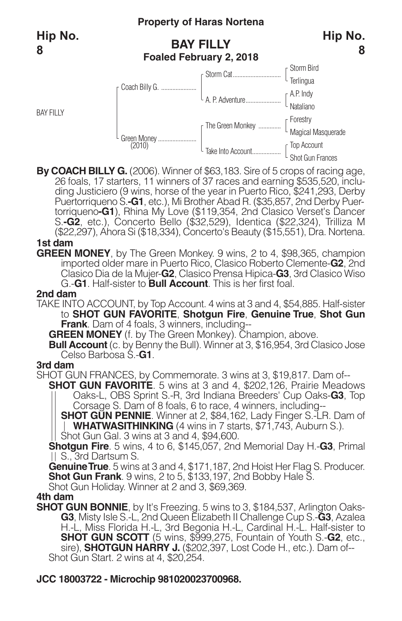BAY FILLY

# **Property of Haras Nortena**

# **BAY FILLY Foaled February 2, 2018**



#### Storm Bird **Terlingua** A.P. Indy Nataliano Forestry Magical Masquerade Top Account Shot Gun Frances Storm Cat.............................. A. P. Adventure...................... The Green Monkey ............. TakeInto Account.................. Green Money........................ (2010) Coach Billy G. ......................

By COACH BILLY G. (2006). Winner of \$63,183. Sire of 5 crops of racing age,<br>26 foals, 17 starters, 11 winners of 37 races and earning \$535,520, inclu-<br>ding Justiciero (9 wins, horse of the year in Puerto Rico, \$241,293, De Puertorriqueno S.**-G1**, etc.), Mi Brother Abad R. (\$35,857, 2nd Derby Puer- torriqueno**-G1**), Rhina My Love (\$119,354, 2nd Clasico Verset's Dancer S.**-G2**, etc.), Concerto Bello (\$32,529), Identica (\$22,324), Trilliza M (\$22,297), Ahora Si (\$18,334), Concerto's Beauty (\$15,551), Dra. Nortena.

### **1st dam**

**GREEN MONEY**, by The Green Monkey. 9 wins, 2 to 4, \$98,365, champion imported older mare in Puerto Rico, Clasico Roberto Clemente-**G2**, 2nd Clasico Dia de la Mujer-**G2**, Clasico Prensa Hipica-**G3**, 3rd Clasico Wiso G.-**G1**. Half-sister to **Bull Account**. This is her first foal.

### **2nd dam**

TAKE INTO ACCOUNT, by Top Account. 4 wins at 3 and 4, \$54,885. Half-sister to **SHOT GUN FAVORITE**, **Shotgun Fire**, **Genuine True**, **Shot Gun Frank**. Dam of 4 foals, 3 winners, including--

**GREEN MONEY** (f. by The Green Monkey). Champion, above.

**Bull Account** (c. by Benny the Bull). Winner at 3, \$16,954, 3rd Clasico Jose Celso Barbosa S.-**G1**.

### **3rd dam**

SHOT GUN FRANCES, by Commemorate. 3 wins at 3, \$19,817. Dam of--

**SHOT GUN FAVORITE**. 5 wins at 3 and 4, \$202,126, Prairie Meadows Oaks-L, OBS Sprint S.-R, 3rd Indiana Breeders' Cup Oaks-**G3**, Top Corsage S. Dam of 8 foals, 6 to race, 4 winners, including--

**SHOT GUN PENNIE**. Winner at 2, \$84,162, Lady Finger S.-LR. Dam of **WHATWASITHINKING** (4 wins in 7 starts, \$71,743, Auburn S.).

Shot Gun Gal. 3 wins at 3 and 4, \$94,600.

**Shotgun Fire**. 5 wins, 4 to 6, \$145,057, 2nd Memorial Day H.-**G3**, Primal S., 3rd Dartsum S.

**GenuineTrue**. 5 wins at 3 and 4, \$171,187, 2nd Hoist Her Flag S. Producer. **Shot Gun Frank**. 9 wins, 2 to 5, \$133,197, 2nd Bobby Hale S. Shot Gun Holiday. Winner at 2 and 3, \$69,369.

### **4th dam**

**SHOT GUN BONNIE**, by It's Freezing. 5 wins to 3, \$184,537, Arlington Oaks-**G3**, Misty Isle S.-L, 2nd Queen Elizabeth II Challenge Cup S.-**G3**, Azalea H.-L, Miss Florida H.-L, 3rd Begonia H.-L, Cardinal H.-L. Half-sister to **SHOT GUN SCOTT** (5 wins, \$999,275, Fountain of Youth S.-**G2**, etc., sire), **SHOTGUN HARRY J.** (\$202,397, Lost Code H., etc.). Dam of-- Shot Gun Start. 2 wins at 4, \$20,254.

# **JCC 18003722 - Microchip 981020023700968.**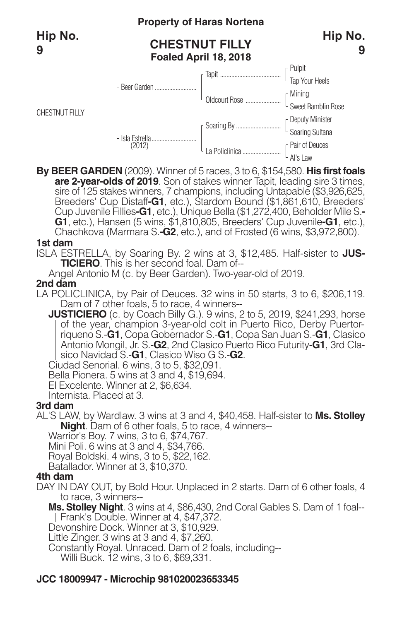CHESTNUT FILLY

# **Property of Haras Nortena**

# **CHESTNUT FILLY Foaled April 18, 2018**





**By BEER GARDEN** (2009). Winner of 5 races, 3 to 6, \$154,580. **His first foals** sire of 125 stakes winners, 7 champions, including Untapable (\$3,926,625, Breeders' Cup Distaff-**G1**, etc.), Stardom Bound (\$1,861,610, Breeders' Cup Distaff-**G1**, etc.), Stardom Bound (\$1,861,610, Breeders' Cup Juvenile F **G1**, etc.), Hansen (5 wins, \$1,810,805, Breeders' Cup Juvenile**-G1**, etc.), Chachkova (Marmara S.**-G2**, etc.), and of Frosted (6 wins, \$3,972,800).

### **1st dam**

ISLA ESTRELLA, by Soaring By. 2 wins at 3, \$12,485. Half-sister to **JUS-TICIERO**. This is her second foal. Dam of--

Angel Antonio M (c. by Beer Garden). Two-year-old of 2019.

### **2nd dam**

- LA POLICLINICA, by Pair of Deuces. 32 wins in 50 starts, 3 to 6, \$206,119. Dam of 7 other foals, 5 to race, 4 winners--
	- **JUSTICIERO** (c. by Coach Billy G.). 9 wins, 2 to 5, 2019, \$241,293, horse of the year, champion 3-year-old colt in Puerto Rico, Derby Puertorriqueno S.-**G1**, Copa Gobernador S.-**G1**, Copa San Juan S.-**G1**, Clasico Antonio Mongil, Jr. S.-**G2**, 2nd Clasico Puerto Rico Futurity-**G1**, 3rd Clasico Navidad S.-**G1**, Clasico Wiso G S.-**G2**.

Ciudad Senorial. 6 wins, 3 to 5, \$32,091.

Bella Pionera. 5 wins at 3 and 4, \$19,694.

El Excelente. Winner at 2, \$6,634.

Internista. Placed at 3.

### **3rd dam**

AL'S LAW, by Wardlaw. 3 wins at 3 and 4, \$40,458. Half-sister to **Ms. Stolley Night**. Dam of 6 other foals, 5 to race, 4 winners--

Warrior's Boy. 7 wins, 3 to 6, \$74,767.

Mini Poli. 6 wins at 3 and 4, \$34,766.

Royal Boldski. 4 wins, 3 to 5, \$22,162.

Batallador. Winner at 3, \$10,370.

### **4th dam**

DAY IN DAY OUT, by Bold Hour. Unplaced in 2 starts. Dam of 6 other foals, 4 to race, 3 winners--

**Ms. Stolley Night**. 3 wins at 4, \$86,430, 2nd Coral Gables S. Dam of 1 foal-- Frank's Double. Winner at 4, \$47,372.

Devonshire Dock. Winner at 3, \$10,929.

Little Zinger. 3 wins at 3 and 4, \$7,260.

Constantly Royal. Unraced. Dam of 2 foals, including--

Willi Buck. 12 wins, 3 to 6, \$69,331.

# **JCC 18009947 - Microchip 981020023653345**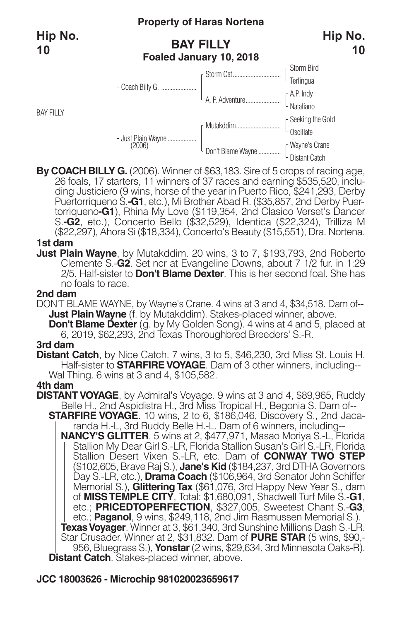BAY FILLY

### **Property of Haras Nortena**

# **BAY FILLY Foaled January 10, 2018**



By COACH BILLY G. (2006). Winner of \$63,183. Sire of 5 crops of racing age,<br>26 foals, 17 starters, 11 winners of 37 races and earning \$535,520, inclu-<br>ding Justiciero (9 wins, horse of the year in Puerto Rico, \$241,293, De Puertorriqueno S.**-G1**, etc.), Mi Brother Abad R. (\$35,857, 2nd Derby Puer- torriqueno**-G1**), Rhina My Love (\$119,354, 2nd Clasico Verset's Dancer S.**-G2**, etc.), Concerto Bello (\$32,529), Identica (\$22,324), Trilliza M (\$22,297), Ahora Si (\$18,334), Concerto's Beauty (\$15,551), Dra. Nortena.

#### **1st dam**

**Just Plain Wayne**, by Mutakddim. 20 wins, 3 to 7, \$193,793, 2nd Roberto Clemente S.-**G2**. Set ncr at Evangeline Downs, about 7 1/2 fur. in 1:29 2/5. Half-sister to **Don't Blame Dexter**. This is her second foal. She has no foals to race.

### **2nd dam**

DON'T BLAME WAYNE, by Wayne's Crane. 4 wins at 3 and 4, \$34,518. Dam of-- **Just Plain Wayne** (f. by Mutakddim). Stakes-placed winner, above. **Don't Blame Dexter** (g. by My Golden Song). 4 wins at 4 and 5, placed at 6, 2019, \$62,293, 2nd Texas Thoroughbred Breeders' S.-R.

#### **3rd dam**

**Distant Catch**, by Nice Catch. 7 wins, 3 to 5, \$46,230, 3rd Miss St. Louis H. Half-sister to **STARFIREVOYAGE**. Dam of 3 other winners, including-- Wal Thing. 6 wins at 3 and 4, \$105,582.

#### **4th dam**

- **DISTANT VOYAGE**, by Admiral's Voyage. 9 wins at 3 and 4, \$89,965, Ruddy Belle H., 2nd Aspidistra H., 3rd Miss Tropical H., Begonia S. Dam of--
	- **STARFIRE VOYAGE**. 10 wins, 2 to 6, \$186,046, Discovery S., 2nd Jacaranda H.-L, 3rd Ruddy Belle H.-L. Dam of 6 winners, including--

**NANCY'S GLITTER**. 5 wins at 2, \$477,971, Masao Moriya S.-L, Florida Stallion My Dear Girl S.-LR, Florida Stallion Susan's Girl S.-LR, Florida Stallion Desert Vixen S.-LR, etc. Dam of **CONWAY TWO STEP** (\$102,605, Brave Raj S.), **Jane's Kid** (\$184,237, 3rd DTHA Governors Day S.-LR, etc.), **Drama Coach** (\$106,964, 3rd Senator John Schiffer Memorial S.), **GlitteringTax** (\$61,076, 3rd Happy New Year S., dam of **MISSTEMPLE CITY**, Total: \$1,680,091, Shadwell Turf Mile S.-**G1**, etc.; **PRICEDTOPERFECTION**, \$327,005, Sweetest Chant S.-**G3**, etc.; **Paganol**, 9 wins, \$249,118, 2nd Jim Rasmussen Memorial S.). **TexasVoyager**. Winner at 3, \$61,340, 3rd Sunshine Millions Dash S.-LR. Star Crusader. Winner at 2, \$31,832. Dam of **PURE STAR** (5 wins, \$90,- 956, Bluegrass S.), **Yonstar**(2 wins, \$29,634, 3rd Minnesota Oaks-R). **Distant Catch**. Stakes-placed winner, above.

# **JCC 18003626 - Microchip 981020023659617**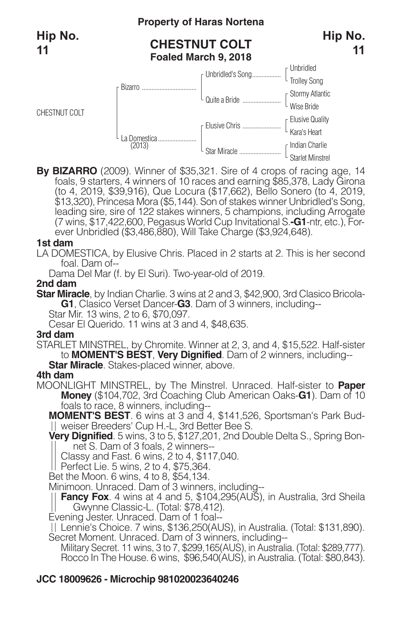CHESTNUT COLT

# **Property of Haras Nortena**

# **CHESTNUT COLT Foaled March 9, 2018**



**By BIZARRO** (2009). Winner of \$35,321. Sire of 4 crops of racing age, 14 foals, 9 starters, 4 winners of 10 races and earning \$85,378, Lady Girona (to 4, 2019, \$39,916), Que Locura (\$17,662), Bello Sonero (to 4, 2019,<br>\$13,320), Princesa Mora (\$5,144). Son of stakes winner Unbridled's Song,<br>leading sire, sire of 122 stakes winners, 5 champions, including Arrogate (7 wins, \$17,422,600, Pegasus World Cup Invitational S.**-G1**-ntr, etc.), Forever Unbridled (\$3,486,880), Will Take Charge (\$3,924,648).

### **1st dam**

LA DOMESTICA, by Elusive Chris. Placed in 2 starts at 2. This is her second foal. Dam of--

Dama Del Mar (f. by El Suri). Two-year-old of 2019.

### **2nd dam**

**Star Miracle**, by Indian Charlie. 3 wins at 2 and 3, \$42,900, 3rd Clasico Bricola-**G1**, Clasico Verset Dancer-**G3**. Dam of 3 winners, including--

Star Mir. 13 wins, 2 to 6, \$70,097.

Cesar El Querido. 11 wins at 3 and 4, \$48,635.

### **3rd dam**

STARLET MINSTREL, by Chromite. Winner at 2, 3, and 4, \$15,522. Half-sister to **MOMENT'S BEST**, **Very Dignified**. Dam of 2 winners, including-- **Star Miracle**. Stakes-placed winner, above.

### **4th dam**

MOONLIGHT MINSTREL, by The Minstrel. Unraced. Half-sister to **Paper Money** (\$104,702, 3rd Coaching Club American Oaks-**G1**). Dam of 10 foals to race, 8 winners, including--

**MOMENT'S BEST**. 6 wins at 3 and 4, \$141,526, Sportsman's Park Budweiser Breeders' Cup H.-L, 3rd Better Bee S.

**Very Dignified**. 5 wins, 3 to 5, \$127,201, 2nd Double Delta S., Spring Bonnet S. Dam of 3 foals, 2 winners--

Classy and Fast. 6 wins, 2 to 4, \$117,040.

Perfect Lie. 5 wins, 2 to 4, \$75,364.

Bet the Moon. 6 wins, 4 to 8, \$54,134.

Minimoon. Unraced. Dam of 3 winners, including--

**Fancy Fox**. 4 wins at 4 and 5, \$104,295(AUS), in Australia, 3rd Sheila Gwynne Classic-L. (Total: \$78,412).

Evening Jester. Unraced. Dam of 1 foal--

Lennie's Choice. 7 wins, \$136,250(AUS), in Australia. (Total: \$131,890). Secret Moment. Unraced. Dam of 3 winners, including--

Military Secret. 11 wins, 3 to 7, \$299,165(AUS), in Australia. (Total: \$289,777). Rocco In The House. 6 wins, \$96,540(AUS), in Australia. (Total: \$80,843).

# **JCC 18009626 - Microchip 981020023640246**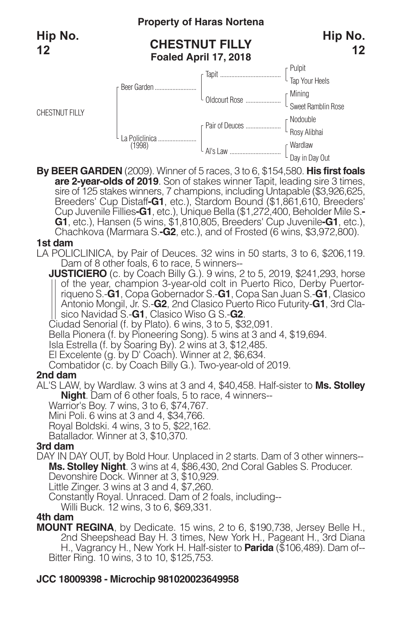CHESTNUT FILLY

# **Property of Haras Nortena**

# **CHESTNUT FILLY Foaled April 17, 2018**



**By BEER GARDEN** (2009). Winner of 5 races, 3 to 6, \$154,580. **His first foals** sire of 125 stakes winners, 7 champions, including Untapable (\$3,926,625,<br>Breeders' Cup Distaff**-G1**, etc.), Stardom Bound (\$1,861,610, Breeders'<br>Cup Juvenile Fillies**-G1**, etc.), Unique Bella (\$1,272,400, Beholder Mile S. **G1**, etc.), Hansen (5 wins, \$1,810,805, Breeders' Cup Juvenile**-G1**, etc.), Chachkova (Marmara S.**-G2**, etc.), and of Frosted (6 wins, \$3,972,800).

### **1st dam**

LA POLICLINICA, by Pair of Deuces. 32 wins in 50 starts, 3 to 6, \$206,119. Dam of 8 other foals, 6 to race, 5 winners--

**JUSTICIERO** (c. by Coach Billy G.). 9 wins, 2 to 5, 2019, \$241,293, horse of the year, champion 3-year-old colt in Puerto Rico, Derby Puertorriqueno S.-**G1**, Copa Gobernador S.-**G1**, Copa San Juan S.-**G1**, Clasico Antonio Mongil, Jr. S.-**G2**, 2nd Clasico Puerto Rico Futurity-**G1**, 3rd Clasico Navidad S.-**G1**, Clasico Wiso G S.-**G2**.

Ciudad Senorial (f. by Plato). 6 wins, 3 to 5, \$32,091.

Bella Pionera (f. by Pioneering Song). 5 wins at 3 and 4, \$19,694.

Isla Estrella (f. by Soaring By). 2 wins at 3, \$12,485.

El Excelente (g. by D' Coach). Winner at 2, \$6,634.

Combatidor (c. by Coach Billy G.). Two-year-old of 2019.

### **2nd dam**

AL'S LAW, by Wardlaw. 3 wins at 3 and 4, \$40,458. Half-sister to **Ms. Stolley Night**. Dam of 6 other foals, 5 to race, 4 winners--

Warrior's Boy. 7 wins, 3 to 6, \$74,767.

Mini Poli. 6 wins at 3 and 4, \$34,766.

Royal Boldski. 4 wins, 3 to 5, \$22,162.

Batallador. Winner at 3, \$10,370.

### **3rd dam**

DAY IN DAY OUT, by Bold Hour. Unplaced in 2 starts. Dam of 3 other winners-- **Ms. Stolley Night**. 3 wins at 4, \$86,430, 2nd Coral Gables S. Producer. Devonshire Dock. Winner at 3, \$10,929.

Little Zinger. 3 wins at 3 and 4, \$7,260.

Constantly Royal. Unraced. Dam of 2 foals, including--

Willi Buck. 12 wins, 3 to 6, \$69,331.

### **4th dam**

**MOUNT REGINA**, by Dedicate. 15 wins, 2 to 6, \$190,738, Jersey Belle H., 2nd Sheepshead Bay H. 3 times, New York H., Pageant H., 3rd Diana H., Vagrancy H., New York H. Half-sister to **Parida** (\$106,489). Dam of-- Bitter Ring. 10 wins, 3 to 10, \$125,753.

# **JCC 18009398 - Microchip 981020023649958**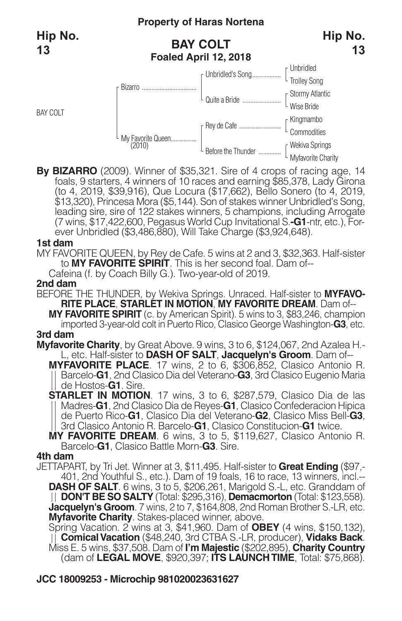**Hip No. 13**

BAY COLT

# **BAY COLT Foaled April 12, 2018**



**By BIZARRO** (2009). Winner of \$35,321. Sire of 4 crops of racing age, 14 foals, 9 starters, 4 winners of 10 races and earning \$85,378, Lady Girona (to 4, 2019, \$39,916), Que Locura (\$17,662), Bello Sonero (to 4, 2019,<br>\$13,320), Princesa Mora (\$5,144). Son of stakes winner Unbridled's Song,<br>leading sire, sire of 122 stakes winners, 5 champions, including Arrogate (7 wins, \$17,422,600, Pegasus World Cup Invitational S.**-G1**-ntr, etc.), Forever Unbridled (\$3,486,880), Will Take Charge (\$3,924,648).

#### **1st dam**

MY FAVORITE QUEEN, by Rey de Cafe. 5 wins at 2 and 3, \$32,363. Half-sister to **MY FAVORITE SPIRIT**. This is her second foal. Dam of--

Cafeina (f. by Coach Billy G.). Two-year-old of 2019.

#### **2nd dam**

BEFORE THE THUNDER, by Wekiva Springs. Unraced. Half-sister to **MYFAVO-RITE PLACE**, **STARLET IN MOTION**, **MY FAVORITE DREAM**. Dam of--

**MY FAVORITE SPIRIT** (c. by American Spirit). 5 wins to 3, \$83,246, champion imported 3-year-old colt in Puerto Rico, Clasico George Washington-**G3**, etc. **3rd dam**

**Myfavorite Charity**, by Great Above. 9 wins, 3 to 6, \$124,067, 2nd Azalea H.- L, etc. Half-sister to **DASH OF SALT**, **Jacquelyn's Groom**. Dam of--

**MYFAVORITE PLACE**. 17 wins, 2 to 6, \$306,852, Clasico Antonio R. Barcelo-**G1**, 2nd Clasico Dia del Veterano-**G3**, 3rd Clasico Eugenio Maria de Hostos-**G1**. Sire.

**STARLET IN MOTION**. 17 wins, 3 to 6, \$287,579, Clasico Dia de las Madres-**G1**, 2nd Clasico Dia de Reyes-**G1**, Clasico Confederacion Hipica de Puerto Rico-**G1**, Clasico Dia del Veterano-**G2**, Clasico Miss Bell-**G3**, 3rd Clasico Antonio R. Barcelo-**G1**, Clasico Constitucion-**G1** twice.

**MY FAVORITE DREAM**. 6 wins, 3 to 5, \$119,627, Clasico Antonio R. Barcelo-**G1**, Clasico Battle Morn-**G3**. Sire.

#### **4th dam**

JETTAPART, by Tri Jet. Winner at 3, \$11,495. Half-sister to **Great Ending** (\$97,- 401, 2nd Youthful S., etc.). Dam of 19 foals, 16 to race, 13 winners, incl.-- **DASH OF SALT**. 6 wins, 3 to 5, \$206,261, Marigold S.-L, etc. Granddam of **DON'T BE SO SALTY** (Total: \$295,316), **Demacmorton** (Total: \$123,558). **Jacquelyn's Groom**. 7 wins, 2 to 7, \$164,808, 2nd Roman Brother S.-LR, etc. **Myfavorite Charity**. Stakes-placed winner, above.

Spring Vacation. 2 wins at 3, \$41,960. Dam of **OBEY** (4 wins, \$150,132), **ComicalVacation** (\$48,240, 3rd CTBA S.-LR, producer), **Vidaks Back**. Miss E. 5 wins, \$37,508. Dam of **I'm Majestic** (\$202,895), **Charity Country** (dam of **LEGAL MOVE**, \$920,397; **ITS LAUNCHTIME**, Total: \$75,868).

# **JCC 18009253 - Microchip 981020023631627**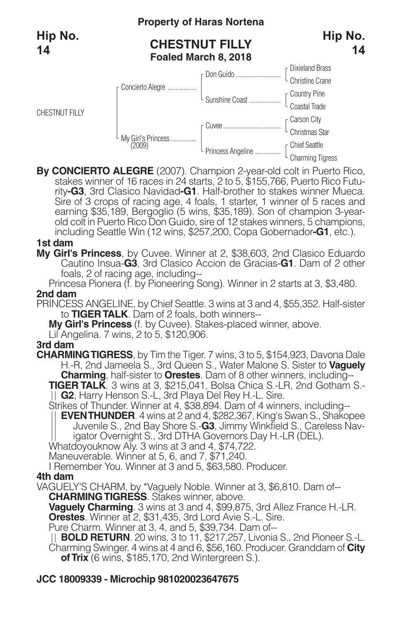CHESTNUT FILLY

# **Property of Haras Nortena**

# **CHESTNUT FILLY Foaled March 8, 2018**





By CONCIERTO ALEGRE (2007). Champion 2-year-old colt in Puerto Rico,<br>stakes winner of 16 races in 24 starts, 2 to 5, \$155,766, Puerto Rico Futu-<br>rity-G3, 3rd Clasico Navidad-G1. Half-brother to stakes winner Mueca. Sire of 3 crops of racing age, 4 foals, 1 starter, 1 winner of 5 races and earning \$35,189, Bergoglio (5 wins, \$35,189). Son of champion 3-yearold colt in Puerto Rico Don Guido, sire of 12 stakes winners, 5 champions, including Seattle Win (12 wins, \$257,200, Copa Gobernador**-G1**, etc.).

### **1st dam**

- **My Girl's Princess**, by Cuvee. Winner at 2, \$38,603, 2nd Clasico Eduardo Cautino Insua-**G3**, 3rd Clasico Accion de Gracias-**G1**. Dam of 2 other foals, 2 of racing age, including--
- Princesa Pionera (f. by Pioneering Song). Winner in 2 starts at 3, \$3,480. **2nd dam**
- PRINCESS ANGELINE, by Chief Seattle. 3 wins at 3 and 4, \$55,352. Half-sister to **TIGERTALK**. Dam of 2 foals, both winners--
	- **My Girl's Princess** (f. by Cuvee). Stakes-placed winner, above.
	- Lil Angelina. 7 wins, 2 to 5, \$120,906.

### **3rd dam**

- **CHARMINGTIGRESS**, by Tim the Tiger. 7 wins, 3 to 5, \$154,923, Davona Dale H.-R, 2nd Jameela S., 3rd Queen S., Water Malone S. Sister to **Vaguely Charming**, half-sister to **Orestes**. Dam of 8 other winners, including--
	- **TIGER TALK**. 3 wins at 3, \$215,041, Bolsa Chica S.-LR, 2nd Gotham S.-<br>  $||$  **G2**, Harry Henson S.-L, 3rd Playa Del Rey H.-L. Sire.<br>Strikes of Thunder. Winner at 4, \$38,894. Dam of 4 winners, including--
	-
	- **EVENTHUNDER**. 4 wins at 2 and 4, \$282,367, King's Swan S., Shakopee Juvenile S., 2nd Bay Shore S.-**G3**, Jimmy Winkfield S., Careless Navigator Overnight S., 3rd DTHA Governors Day H.-LR (DEL).
	- Whatdoyouknow Aly. 3 wins at 3 and 4, \$74,722.
	- Maneuverable. Winner at 5, 6, and 7, \$71,240.
	- I Remember You. Winner at 3 and 5, \$63,580. Producer.

# **4th dam**

- VAGUELY'S CHARM, by \*Vaguely Noble. Winner at 3, \$6,810. Dam of-- **CHARMINGTIGRESS**. Stakes winner, above.
	- **Vaguely Charming**. 3 wins at 3 and 4, \$99,875, 3rd Allez France H.-LR. **Orestes**. Winner at 2, \$31,435, 3rd Lord Avie S.-L. Sire.
	- Pure Charm. Winner at 3, 4, and 5, \$39,734. Dam of--
	- **BOLD RETURN**. 20 wins, 3 to 11, \$217,257, Livonia S., 2nd Pioneer S.-L. Charming Swinger. 4 wins at 4 and 6, \$56,160. Producer. Granddam of **City ofTrix** (6 wins, \$185,170, 2nd Wintergreen S.).

# **JCC 18009339 - Microchip 981020023647675**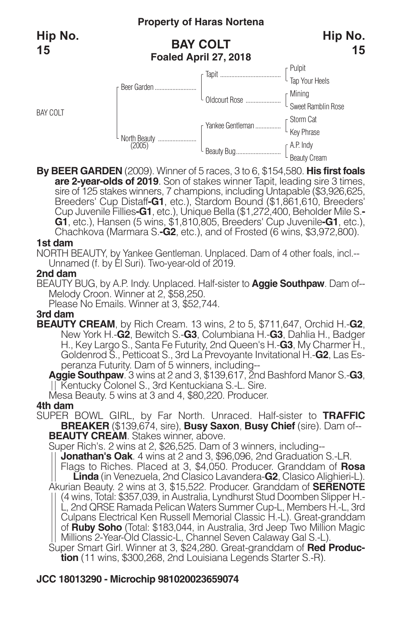BAY COLT

# **BAY COLT Foaled April 27, 2018**



**By BEER GARDEN** (2009). Winner of 5 races, 3 to 6, \$154,580. **His first foals** sire of 125 stakes winners, 7 champions, including Untapable (\$3,926,625,<br>Breeders' Cup Distaff**-G1**, etc.), Stardom Bound (\$1,861,610, Breeders'<br>Cup Juvenile Fillies**-G1**, etc.), Unique Bella (\$1,272,400, Beholder Mile S. **G1**, etc.), Hansen (5 wins, \$1,810,805, Breeders' Cup Juvenile**-G1**, etc.), Chachkova (Marmara S.**-G2**, etc.), and of Frosted (6 wins, \$3,972,800).

#### **1st dam**

NORTH BEAUTY, by Yankee Gentleman. Unplaced. Dam of 4 other foals, incl.-- Unnamed (f. by El Suri). Two-year-old of 2019.

#### **2nd dam**

BEAUTY BUG, by A.P. Indy. Unplaced. Half-sister to **Aggie Southpaw**. Dam of-- Melody Croon. Winner at 2, \$58,250.

Please No Emails. Winner at 3, \$52,744.

### **3rd dam**

**BEAUTY CREAM**, by Rich Cream. 13 wins, 2 to 5, \$711,647, Orchid H.-**G2**, New York H.-**G2**, Bewitch S.-**G3**, Columbiana H.-**G3**, Dahlia H., Badger H., Key Largo S., Santa Fe Futurity, 2nd Queen's H.-**G3**, My Charmer H., Goldenrod S., Petticoat S., 3rd La Prevoyante Invitational H.-**G2**, Las Esperanza Futurity. Dam of 5 winners, including--

**Aggie Southpaw**. 3 wins at 2 and 3, \$139,617, 2nd Bashford Manor S.-**G3**, Kentucky Colonel S., 3rd Kentuckiana S.-L. Sire.

Mesa Beauty. 5 wins at 3 and 4, \$80,220. Producer.

### **4th dam**

SUPER BOWL GIRL, by Far North. Unraced. Half-sister to **TRAFFIC BREAKER** (\$139,674, sire), **Busy Saxon**, **Busy Chief** (sire). Dam of-- **BEAUTY CREAM**. Stakes winner, above.

Super Rich's. 2 wins at 2, \$26,525. Dam of 3 winners, including--

**Jonathan's Oak**. 4 wins at 2 and 3, \$96,096, 2nd Graduation S.-LR. Flags to Riches. Placed at 3, \$4,050. Producer. Granddam of **Rosa** Akurian Beauty. 2 wins at 3, \$15,522. Producer. Granddam of **SERENOTE** (4 wins, Total: \$357,039, in Australia, Lyndhurst Stud Doomben Slipper H.- L, 2nd QRSE Ramada Pelican Waters Summer Cup-L, Members H.-L, 3rd Culpans Electrical Ken Russell Memorial Classic H.-L). Great-granddam of **Ruby Soho** (Total: \$183,044, in Australia, 3rd Jeep Two Million Magic Millions 2-Year-Old Classic-L, Channel Seven Calaway Gal S.-L). Super Smart Girl. Winner at 3, \$24,280. Great-granddam of **Red Produc-**

**tion** (11 wins, \$300,268, 2nd Louisiana Legends Starter S.-R).

# **JCC 18013290 - Microchip 981020023659074**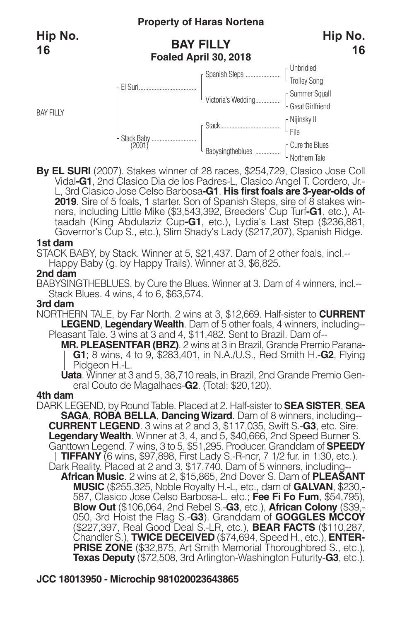**Hip No. 16**

BAY FILLY

# **BAY FILLY Foaled April 30, 2018**



**By EL SURI** (2007). Stakes winner of 28 races, \$254,729, Clasico Jose Coll Vidal**-G1**, 2nd Clasico Dia de los Padres-L, Clasico Angel T. Cordero, Jr.- L, 3rd Clasico Jose Celso Barbosa**-G1**. **His first foals are 3-year-olds of <sup>2019</sup>**. Sire of <sup>5</sup> foals, <sup>1</sup> starter. Son of Spanish Steps, sire of <sup>8</sup> stakes win- ners, including Little Mike (\$3,543,392, Breeders' Cup Turf**-G1**, etc.), Attaadah (King Abdulaziz Cup**-G1**, etc.), Lydia's Last Step (\$236,881, Governor's Cup S., etc.), Slim Shady's Lady (\$217,207), Spanish Ridge.

#### **1st dam**

STACK BABY, by Stack. Winner at 5, \$21,437. Dam of 2 other foals, incl.--

Happy Baby (g. by Happy Trails). Winner at 3, \$6,825.

#### **2nd dam**

BABYSINGTHEBLUES, by Cure the Blues. Winner at 3. Dam of 4 winners, incl.-- Stack Blues. 4 wins, 4 to 6, \$63,574.

#### **3rd dam**

NORTHERN TALE, by Far North. 2 wins at 3, \$12,669. Half-sister to **CURRENT LEGEND, Legendary Wealth.** Dam of 5 other foals, 4 winners, including--Pleasant Tale. 3 wins at 3 and 4, \$11,482. Sent to Brazil. Dam of--

**MR.PLEASENTFAR (BRZ)**. 2 wins at 3 in Brazil, Grande Premio Parana-**G1**; 8 wins, 4 to 9, \$283,401, in N.A./U.S., Red Smith H.-**G2**, Flying Pidgeon H.-L.

**Uata**. Winner at 3 and 5, 38,710 reals, in Brazil, 2nd Grande Premio General Couto de Magalhaes-**G2**. (Total: \$20,120).

#### **4th dam**

DARK LEGEND, by Round Table. Placed at 2. Half-sister to **SEA SISTER**, **SEA SAGA**, **ROBA BELLA**, **DancingWizard**. Dam of 8 winners, including-- **CURRENT LEGEND**. 3 wins at 2 and 3, \$117,035, Swift S.-**G3**, etc. Sire. **LegendaryWealth**. Winner at 3, 4, and 5, \$40,666, 2nd Speed Burner S. Ganttown Legend. 7 wins, 3 to 5, \$51,295. Producer. Granddam of **SPEEDY TIFFANY** (6 wins, \$97,898, First Lady S.-R-ncr, 7 1/2 fur. in 1:30, etc.). Dark Reality. Placed at 2 and 3, \$17,740. Dam of 5 winners, including-- **African Music**. 2 wins at 2, \$15,865, 2nd Dover S. Dam of **PLEASANT MUSIC** (\$255,325, Noble Royalty H.-L, etc., dam of **GALVAN**, \$230,- 587, Clasico Jose Celso Barbosa-L, etc.; **Fee Fi Fo Fum**, \$54,795), **Blow Out** (\$106,064, 2nd Rebel S.-**G3**, etc.), **African Colony** (\$39,- 050, 3rd Hoist the Flag S.-**G3**). Granddam of **GOGGLES MCCOY** (\$227,397, Real Good Deal S.-LR, etc.), **BEAR FACTS** (\$110,287, Chandler S.), **TWICE DECEIVED** (\$74,694, Speed H., etc.), **ENTER-PRISE ZONE** (\$32,875, Art Smith Memorial Thoroughbred S., etc.), **Texas Deputy** (\$72,508, 3rd Arlington-Washington Futurity-**G3**, etc.).

# **JCC 18013950 - Microchip 981020023643865**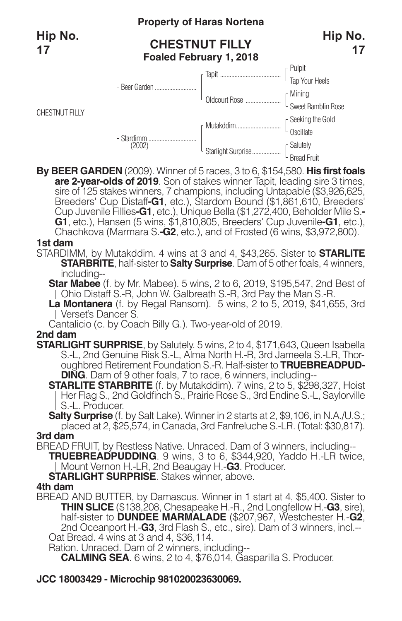# **Property of Haras Nortena**

# **CHESTNUT FILLY Foaled February 1, 2018**



**By BEER GARDEN** (2009). Winner of 5 races, 3 to 6, \$154,580. **His first foals** sire of 125 stakes winners, 7 champions, including Untapable (\$3,926,625,<br>Breeders' Cup Distaff**-G1**, etc.), Stardom Bound (\$1,861,610, Breeders'<br>Cup Juvenile Fillies**-G1**, etc.), Unique Bella (\$1,272,400, Beholder Mile S. **G1**, etc.), Hansen (5 wins, \$1,810,805, Breeders' Cup Juvenile**-G1**, etc.), Chachkova (Marmara S.**-G2**, etc.), and of Frosted (6 wins, \$3,972,800).

#### **1st dam**

STARDIMM, by Mutakddim. 4 wins at 3 and 4, \$43,265. Sister to **STARLITE STARBRITE**, half-sister to **Salty Surprise**. Dam of <sup>5</sup> other foals, <sup>4</sup> winners, including--

**Star Mabee** (f. by Mr. Mabee). 5 wins, 2 to 6, 2019, \$195,547, 2nd Best of Ohio Distaff S.-R, John W. Galbreath S.-R, 3rd Pay the Man S.-R.

**La Montanera** (f. by Regal Ransom). 5 wins, 2 to 5, 2019, \$41,655, 3rd Verset's Dancer S.

Cantalicio (c. by Coach Billy G.). Two-year-old of 2019.

#### **2nd dam**

**STARLIGHT SURPRISE**, by Salutely. 5 wins, 2 to 4, \$171,643, Queen Isabella S.-L, 2nd Genuine Risk S.-L, Alma North H.-R, 3rd Jameela S.-LR, Thoroughbred Retirement Foundation S.-R. Half-sister to **TRUEBREADPUD-DING**. Dam of 9 other foals, 7 to race, 6 winners, including--

**STARLITE STARBRITE** (f. by Mutakddim). 7 wins, 2 to 5, \$298,327, Hoist Her Flag S., 2nd Goldfinch S., Prairie Rose S., 3rd Endine S.-L, Saylorville S.-L. Producer.

**Salty Surprise** (f. by Salt Lake). Winner in 2 starts at 2, \$9,106, in N.A./U.S.; placed at 2, \$25,574, in Canada, 3rd Fanfreluche S.-LR. (Total: \$30,817).

#### **3rd dam**

BREAD FRUIT, by Restless Native. Unraced. Dam of 3 winners, including-- **TRUEBREADPUDDING**. 9 wins, 3 to 6, \$344,920, Yaddo H.-LR twice, Mount Vernon H.-LR, 2nd Beaugay H.-**G3**. Producer.

**STARLIGHT SURPRISE**. Stakes winner, above.

### **4th dam**

BREAD AND BUTTER, by Damascus. Winner in 1 start at 4, \$5,400. Sister to **THIN SLICE** (\$138,208, Chesapeake H.-R., 2nd Longfellow H.-**G3**, sire), half-sister to **DUNDEE MARMALADE** (\$207,967, Westchester H.-**G2**, 2nd Oceanport H.-**G3**, 3rd Flash S., etc., sire). Dam of 3 winners, incl.-- Oat Bread. 4 wins at 3 and 4, \$36,114.

Ration. Unraced. Dam of 2 winners, including--

**CALMING SEA**. 6 wins, 2 to 4, \$76,014, Gasparilla S. Producer.

# **JCC 18003429 - Microchip 981020023630069.**